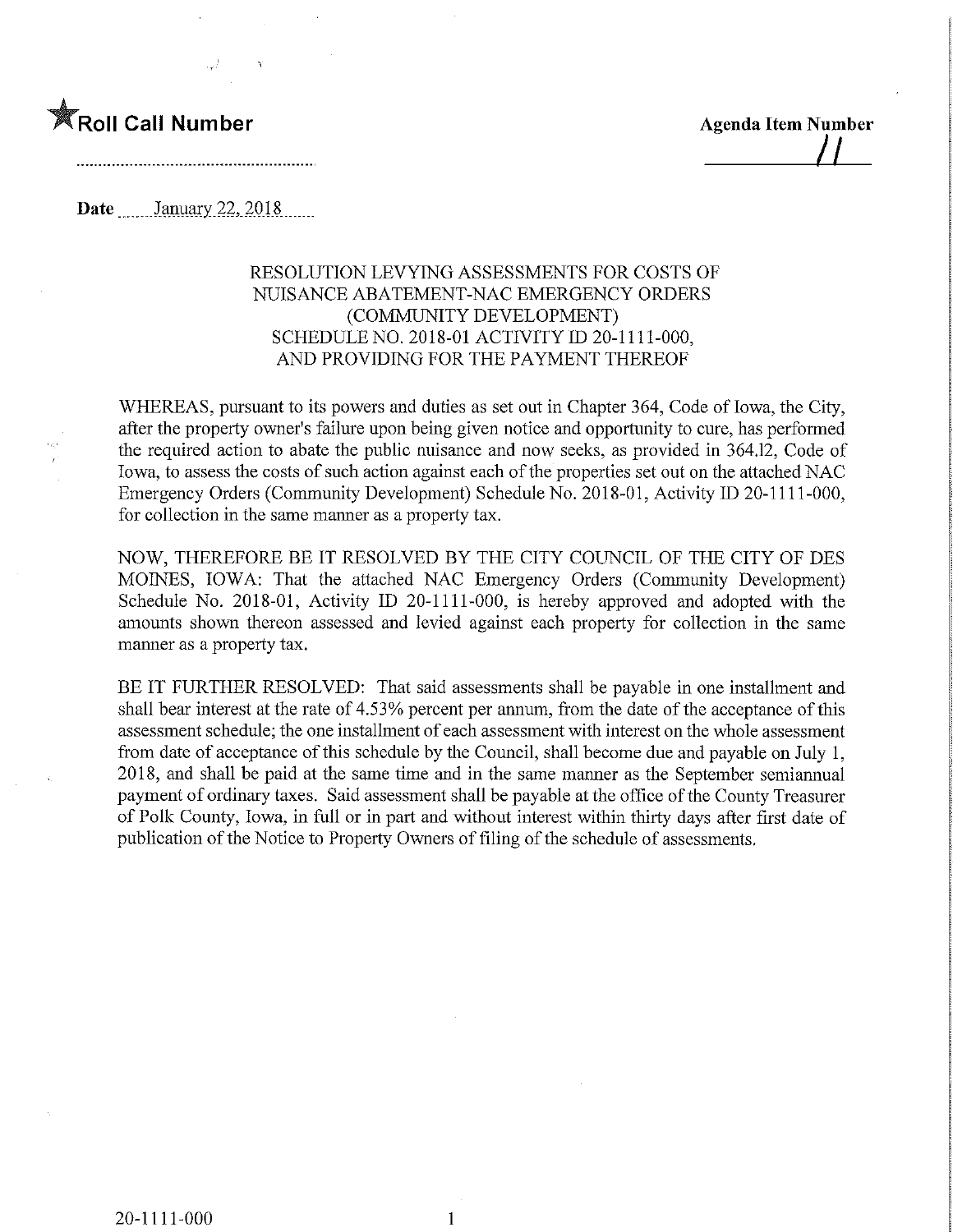

 $\perp$ 

Date ..\_...Janyary.22,.2018,

## RESOLUTION LEVYING ASSESSMENTS FOR COSTS OF NUISANCE ABATEMENT-NAC EMERGENCY ORDERS (COMMUNITY DEVELOPMENT) SCHEDULE NO. 2018-01 ACTIVITY ID 20-1111-000, AND PROVIDING FOR THE PAYMENT THEREOF

WHEREAS, pursuant to its powers and duties as set out in Chapter 364, Code of Iowa, the City, after the property owner's failure upon being given notice and opportunity to cure, has performed the required action to abate the public nuisance and now seeks, as provided in 364.12, Code of Iowa, to assess the costs of such action against each of the properties set out on the attached NAC Emergency Orders (Community Development) Schedule No. 2018-01, Activity ID 20-1111-000, for collection in the same manner as a property tax.

NOW, THEREFORE BE IT RESOLVED BY THE CITY COUNCIL OF THE CITY OF DES MOINES, IOWA: That the attached NAC Emergency Orders (Community Development) Schedule No. 2018-01, Activity ID 20-1111-000, is hereby approved and adopted with the amounts shown thereon assessed and levied against each property for collection in the same mamier as a property tax.

BE IT FURTHER RESOLVED: That said assessments shall be payable in one installment and shall bear interest at the rate of 4.53% percent per annum, from the date of the acceptance of this assessment schedule; the one installment of each assessment with interest on the whole assessment from date of acceptance of this schedule by the Council, shall become due and payable on July 1, 2018, and shall be paid at the same time and in the same manner as the September semiannual payment of ordinary taxes. Said assessment shall be payable at the office of the County Treasurer of Polk County, Iowa, in full or in part and without interest within thirty days after first date of publication of the Notice to Property Owners of filing of the schedule of assessments.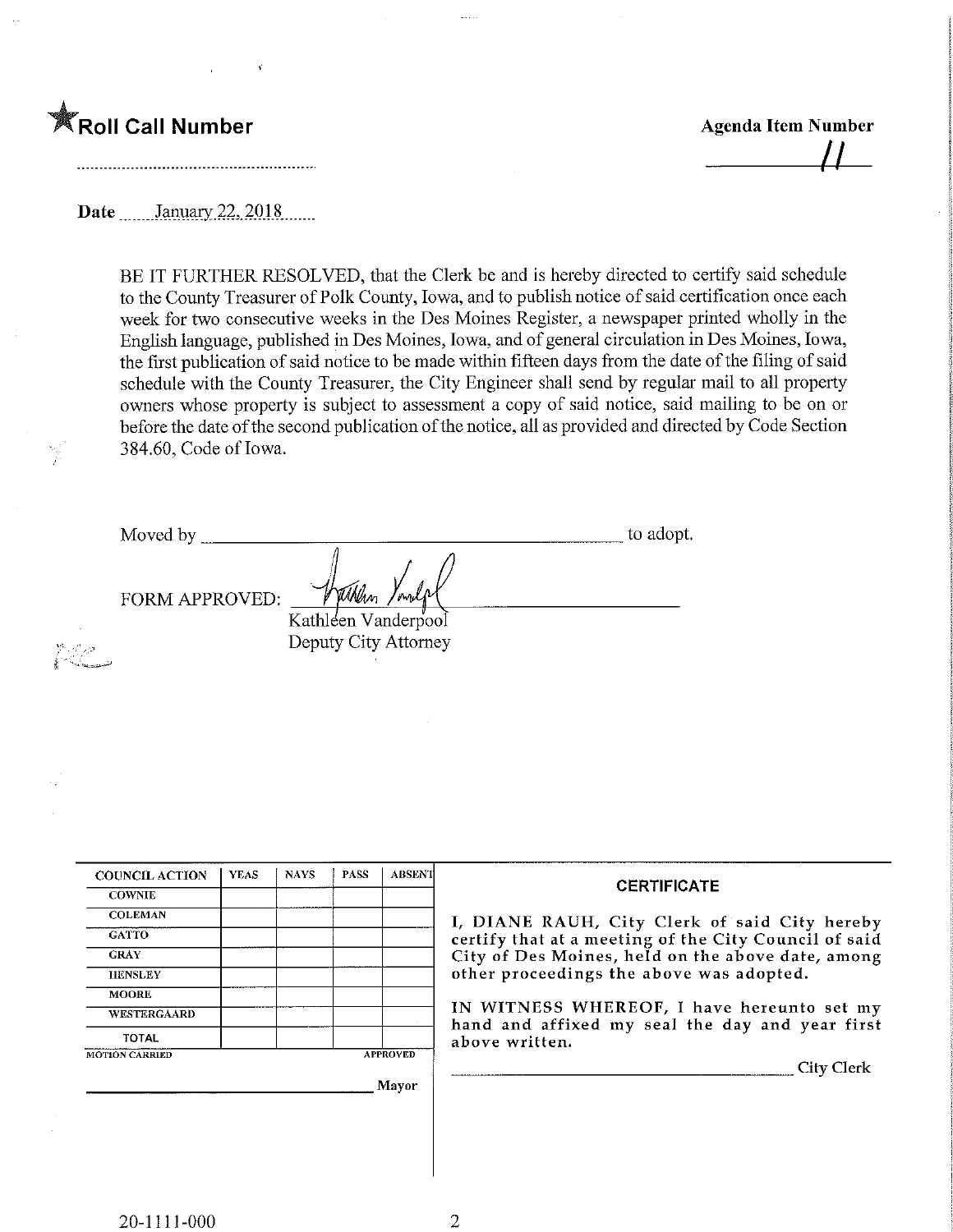

^ - "^^-.\_-

ీ చివా

 $\mu$ 

Date January 22, 2018

BE IT FURTHER RESOLVED, that the Clerk be and is hereby directed to certify said schedule to the County Treasurer of Polk County, Iowa, and to publish notice of said certification once each week for two consecutive weeks in the Des Moines Register, a newspaper printed wholly in the English language, published in Des Moines, Iowa, and of general circulation in Des Moines, Iowa, the first publication of said notice to be made within fifteen days from the date of the filing of said schedule with the County Treasurer, the City Engineer shall send by regular mail to all property owners whose property is subject to assessment a copy of said notice, said mailing to be on or before the date of the second publication of the notice, all as provided and directed by Code Section 384.60, Code of Iowa.

| Moved by              | to adopt. |
|-----------------------|-----------|
| <b>FORM APPROVED:</b> | condal    |
| Kathleen Vanderpool   |           |
| Deputy City Attorney  |           |

| <b>COUNCIL ACTION</b> | <b>YEAS</b> | <b>NAYS</b> | <b>PASS</b> | <b>ABSENT</b>   | <b>CERTIFICATE</b>                                                                            |
|-----------------------|-------------|-------------|-------------|-----------------|-----------------------------------------------------------------------------------------------|
| <b>COWNIE</b>         |             |             |             |                 |                                                                                               |
| <b>COLEMAN</b>        |             |             |             |                 | I, DIANE RAUH, City Clerk of said City hereby                                                 |
| <b>GATTO</b>          |             |             |             |                 | certify that at a meeting of the City Council of said                                         |
| <b>GRAY</b>           |             |             |             |                 | City of Des Moines, held on the above date, among                                             |
| <b>HENSLEY</b>        |             |             |             |                 | other proceedings the above was adopted.                                                      |
| <b>MOORE</b>          |             |             |             |                 |                                                                                               |
| <b>WESTERGAARD</b>    |             |             |             |                 | IN WITNESS WHEREOF, I have hereunto set my<br>hand and affixed my seal the day and year first |
| <b>TOTAL</b>          |             |             |             |                 | above written.                                                                                |
| <b>MOTION CARRIED</b> |             |             |             | <b>APPROVED</b> |                                                                                               |
|                       |             |             |             |                 | City Clerk                                                                                    |
|                       |             |             |             | Mayor           |                                                                                               |
|                       |             |             |             |                 |                                                                                               |
|                       |             |             |             |                 |                                                                                               |
|                       |             |             |             |                 |                                                                                               |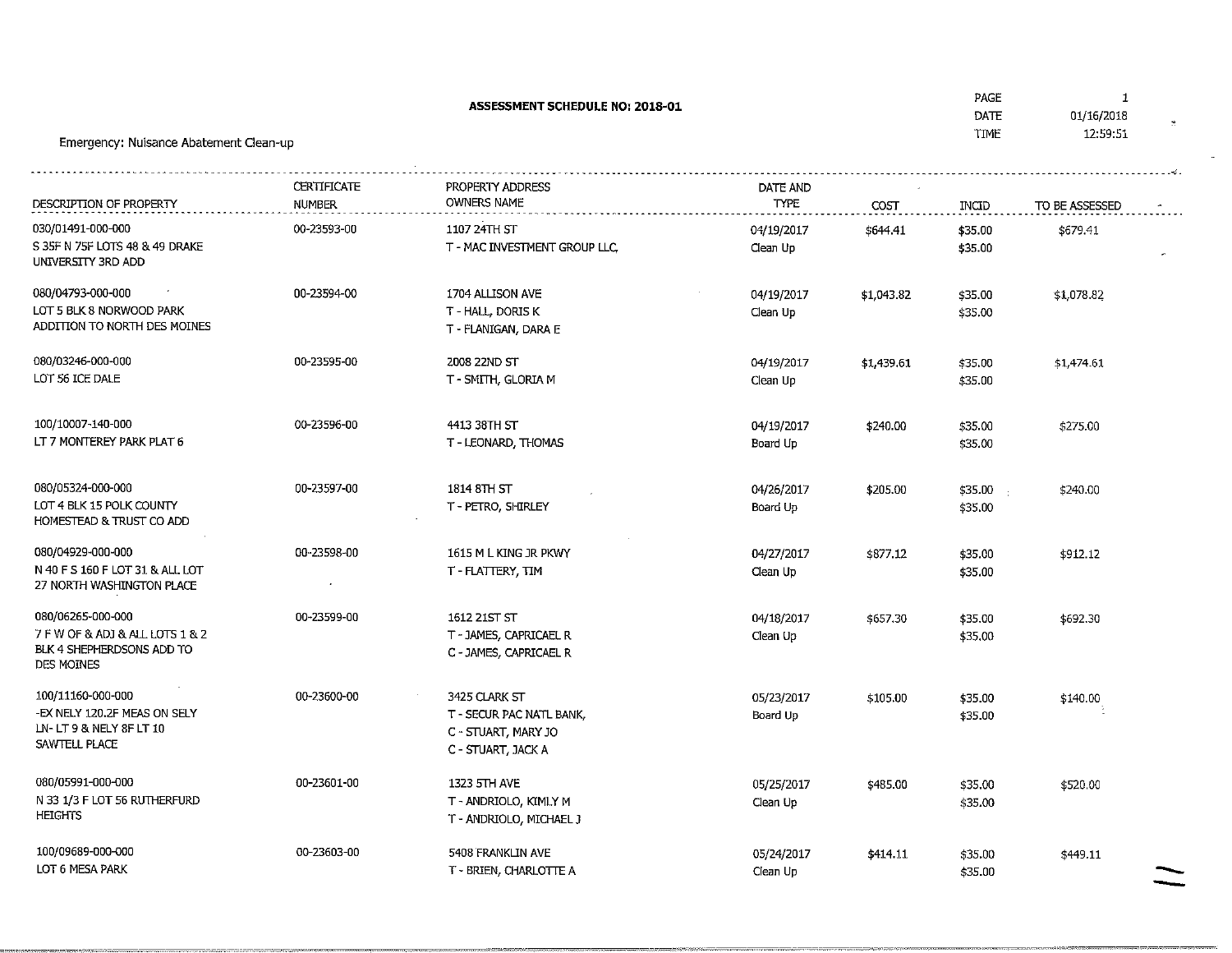| ASSESSMENT SCHEDULE NO: 2018-01<br>Emergency: Nuisance Abatement Clean-up                       |                              |                                                                                        |                         |            | PAGE<br>DATE<br>TIME                    | $\mathbf{1}$<br>01/16/2018<br>12:59:51 |
|-------------------------------------------------------------------------------------------------|------------------------------|----------------------------------------------------------------------------------------|-------------------------|------------|-----------------------------------------|----------------------------------------|
| DESCRIPTION OF PROPERTY                                                                         | CERTIFICATE<br><b>NUMBER</b> | PROPERTY ADDRESS<br><b>OWNERS NAME</b>                                                 | DATE AND<br><b>TYPE</b> | COST       | INCID                                   | TO BE ASSESSED                         |
| 030/01491-000-000<br>S 35F N 75F LOTS 48 & 49 DRAKE<br>UNIVERSITY 3RD ADD                       | 00-23593-00                  | 1107 24TH ST<br>T - MAC INVESTMENT GROUP LLC,                                          | 04/19/2017<br>Clean Up  | \$644.41   | \$35.00<br>\$35.00                      | \$679.41                               |
| 080/04793-000-000<br>LOT 5 BLK 8 NORWOOD PARK<br>ADDITION TO NORTH DES MOINES                   | 00-23594-00                  | 1704 ALLISON AVE<br>T - HALL, DORIS K<br>T - FLANIGAN, DARA E                          | 04/19/2017<br>Clean Up  | \$1,043.82 | \$35.00<br>\$35.00                      | \$1,078.82                             |
| 080/03246-000-000<br>LOT 56 ICE DALE                                                            | 00-23595-00                  | 2008 22ND ST<br>T - SMITH, GLORIA M                                                    | 04/19/2017<br>Clean Up  | \$1,439.61 | \$35.00<br>\$35.00                      | \$1,474.61                             |
| 100/10007-140-000<br>LT 7 MONTEREY PARK PLAT 6                                                  | 00-23596-00                  | 441.3 38TH ST<br>T - LEONARD, THOMAS                                                   | 04/19/2017<br>Board Up  | \$240.00   | \$35.00<br>\$35.00                      | \$275.00                               |
| 080/05324-000-000<br>LOT 4 BLK 15 POLK COUNTY<br>HOMESTEAD & TRUST CO ADD                       | 00-23597-00                  | 1814 8TH ST<br>T - PETRO, SHIRLEY                                                      | 04/26/2017<br>Board Up  | \$205.00   | \$35.00<br>$\sim$ $\epsilon$<br>\$35.00 | \$240.00                               |
| 080/04929-000-000<br>N 40 F S 160 F LOT 31 & ALL LOT<br>27 NORTH WASHINGTON PLACE               | 00-23598-00                  | 1615 M L KING JR PKWY<br>T - FLATTERY, TIM                                             | 04/27/2017<br>Clean Up  | \$877.12   | \$35.00<br>\$35.00                      | \$912.12                               |
| 080/06265-000-000<br>7 F W OF & ADJ & ALL LOTS 1 & 2<br>BLK 4 SHEPHERDSONS ADD TO<br>DES MOINES | 00-23599-00                  | 1612 21ST ST<br>T - JAMES, CAPRICAEL R<br>C - JAMES, CAPRICAEL R                       | 04/18/2017<br>Clean Up  | \$657.30   | \$35.00<br>\$35.00                      | \$692.30                               |
| 100/11160-000-000<br>-EX NELY 120.2F MEAS ON SELY<br>LN-LT9 & NELY 8F LT 10<br>SAWTELL PLACE    | 00-23600-00                  | 3425 CLARK ST<br>T - SECUR PAC NATL BANK,<br>C - STUART, MARY JO<br>C - STUART, JACK A | 05/23/2017<br>Board Up  | \$105.00   | \$35.00<br>\$35.00                      | \$140.00                               |
| 080/05991-000-000<br>N 33 1/3 F LOT 56 RUTHERFURD<br><b>HEIGHTS</b>                             | 00-23601-00                  | 1323 5TH AVE<br>T - ANDRIOLO, KIMLY M<br>T - ANDRIOLO, MICHAEL J                       | 05/25/2017<br>Clean Up  | \$485.00   | \$35.00<br>\$35.00                      | \$520.00                               |
| 100/09689-000-000<br>LOT 6 MESA PARK                                                            | 00-23603-00                  | 5408 FRANKLIN AVE<br>T - BRIEN, CHARLOTTE A                                            | 05/24/2017<br>Clean Up  | \$414.11   | \$35.00<br>\$35.00                      | \$449.11                               |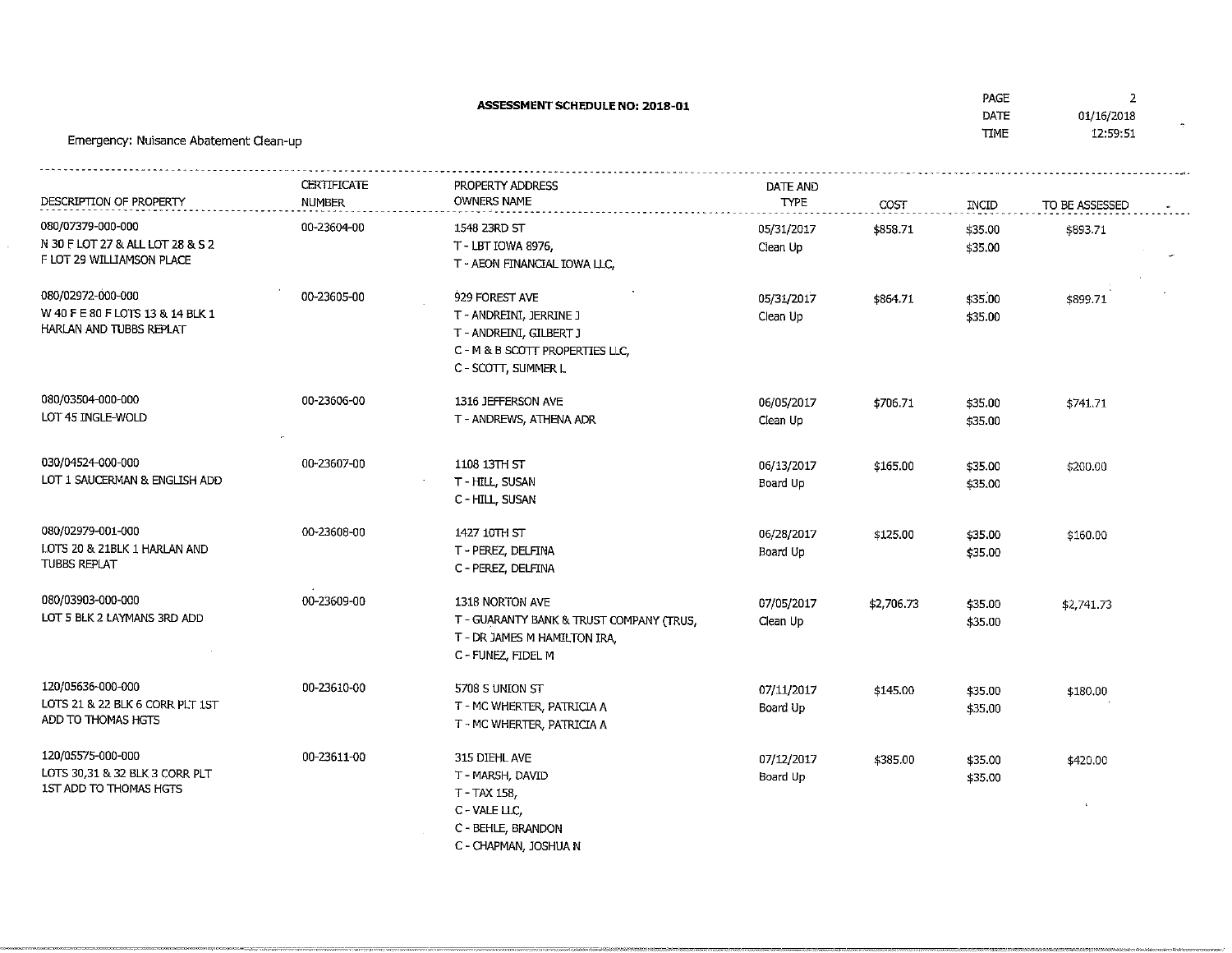| <b>ASSESSMENT SCHEDULE NO: 2018-01</b><br>Emergency: Nuisance Abatement Clean-up   |                       |                                                                                                                                |                         |                  | PAGE<br>DATE<br><b>TIME</b>       | $\overline{2}$<br>01/16/2018<br>12:59:51 |
|------------------------------------------------------------------------------------|-----------------------|--------------------------------------------------------------------------------------------------------------------------------|-------------------------|------------------|-----------------------------------|------------------------------------------|
| DESCRIPTION OF PROPERTY                                                            | CERTIFICATE<br>NUMBER | PROPERTY ADDRESS<br>OWNERS NAME                                                                                                | DATE AND<br><b>TYPE</b> |                  |                                   |                                          |
| 080/07379-000-000<br>N 30 F LOT 27 & ALL LOT 28 & S 2<br>F LOT 29 WILLIAMSON PLACE | 00-23604-00           | 1548 23RD ST<br>T - LBT IOWA 8976.<br>T - AEON FINANCIAL IOWA LLC,                                                             | 05/31/2017<br>Clean Up  | COST<br>\$858.71 | $\sf INCID$<br>\$35.00<br>\$35.00 | TO BE ASSESSED<br>\$893.71               |
| 080/02972-000-000<br>W 40 F E 80 F LOTS 13 & 14 BLK 1<br>HARLAN AND TUBBS REPLAT   | 00-23605-00           | 929 FOREST AVE<br>T - ANDREINI, JERRINE J<br>T - ANDREINI, GILBERT J<br>C - M & B SCOTT PROPERTIES LLC,<br>C - SCOTT, SUMMER L | 05/31/2017<br>Clean Up  | \$864.71         | \$35.00<br>\$35.00                | \$899.71                                 |
| 080/03504-000-000<br>LOT 45 INGLE-WOLD                                             | 00-23606-00           | 1316 JEFFERSON AVE<br>T - ANDREWS, ATHENA ADR                                                                                  | 06/05/2017<br>Clean Up  | \$706.71         | \$35.00<br>\$35.00                | \$741.71                                 |
| 030/04524-000-000<br>LOT 1 SAUCERMAN & ENGLISH ADD                                 | 00-23607-00           | 1108 13TH ST<br>T - HILL, SUSAN<br>C - HILL, SUSAN                                                                             | 06/13/2017<br>Board Up  | \$165.00         | \$35.00<br>\$35.00                | \$200.00                                 |
| 080/02979-001-000<br>LOTS 20 & 21BLK 1 HARLAN AND<br><b>TUBBS REPLAT</b>           | 00-23608-00           | 1427 10TH ST<br>T - PEREZ, DELFINA<br>C - PEREZ, DELFINA                                                                       | 06/28/2017<br>Board Up  | \$125.00         | \$35.00<br>\$35.00                | \$160.00                                 |
| 080/03903-000-000<br>LOT 5 BLK 2 LAYMANS 3RD ADD                                   | 00-23609-00           | 1318 NORTON AVE<br>T - GUARANTY BANK & TRUST COMPANY (TRUS,<br>T - DR JAMES M HAMILTON IRA,<br>C - FUNEZ, FIDEL M              | 07/05/2017<br>Clean Up  | \$2,706.73       | \$35.00<br>\$35.00                | \$2,741.73                               |
| 120/05636-000-000<br>LOTS 21 & 22 BLK 6 CORR PLT 1ST<br>ADD TO THOMAS HGTS         | 00-23610-00           | 5708 S UNION ST<br>T - MC WHERTER, PATRICIA A<br>T - MC WHERTER, PATRICIA A                                                    | 07/11/2017<br>Board Up  | \$145.00         | \$35.00<br>\$35.00                | \$180.00                                 |
| 120/05575-000-000<br>LOTS 30,31 & 32 BLK 3 CORR PLT<br>1ST ADD TO THOMAS HGTS      | 00-23611-00           | 315 DIEHL AVE<br>T - MARSH, DAVID<br>T-TAX 158,<br>C - VALE LLC,<br>C - BEHLE, BRANDON<br>A MILBOURN TAALUM                    | 07/12/2017<br>Board Up  | \$385.00         | \$35.00<br>\$35.00                | \$420.00                                 |

C - CHAPMAN/ JOSHUA M

 $\sim$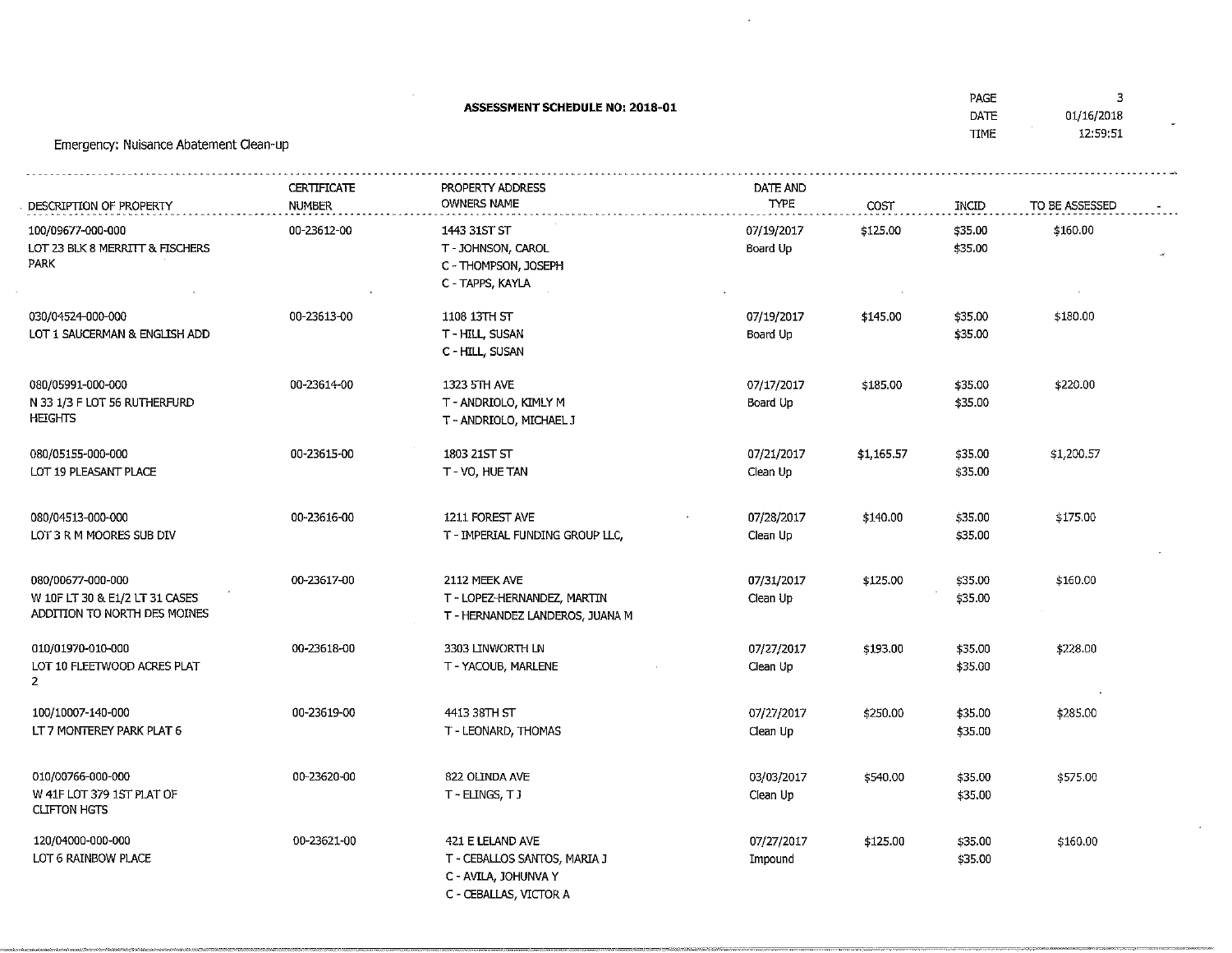ASSESSMENT SCHEDULE NO; 2018-01

 $\sim$ 

 $\sim$ 

 $\sim$ 

 $\overline{\mathbf{3}}$ 

 $\mathbf{v}$ 

| DESCRIPTION OF PROPERTY                                                             | <b>CERTIFICATE</b><br><b>NUMBER</b> | PROPERTY ADDRESS<br>OWNERS NAME                                                                    | DATE AND<br><b>TYPE</b> | COST       | INCID              | TO BE ASSESSED |
|-------------------------------------------------------------------------------------|-------------------------------------|----------------------------------------------------------------------------------------------------|-------------------------|------------|--------------------|----------------|
| 100/09677-000-000<br>LOT 23 BLK 8 MERRITT & FISCHERS<br>PARK                        | 00-23612-00                         | 1443 31ST ST<br>T - JOHNSON, CAROL<br>C - THOMPSON, JOSEPH<br>C - TAPPS, KAYLA                     | 07/19/2017<br>Board Up  | \$125.00   | \$35.00<br>\$35.00 | \$160.00       |
| 030/04524-000-000<br>LOT 1 SAUCERMAN & ENGLISH ADD                                  | 00-23613-00                         | 1108 13TH ST<br>T - HILL, SUSAN<br>C - HILL, SUSAN                                                 | 07/19/2017<br>Board Up  | \$145.00   | \$35.00<br>\$35.00 | \$180.00       |
| 080/05991-000-000<br>N 33 1/3 F LOT 56 RUTHERFURD<br><b>HEIGHTS</b>                 | 00-23614-00                         | 1323 5TH AVE<br>T - ANDRIOLO, KIMLY M<br>T - ANDRIOLO, MICHAEL J                                   | 07/17/2017<br>Board Up  | \$185.00   | \$35.00<br>\$35.00 | \$220.00       |
| 080/05155-000-000<br>LOT 19 PLEASANT PLACE                                          | 00-23615-00                         | 1803 21ST ST<br>T - VO, HUE TAN                                                                    | 07/21/2017<br>Clean Up  | \$1,165.57 | \$35.00<br>\$35.00 | \$1,200.57     |
| 080/04513-000-000<br>LOT 3 R M MOORES SUB DIV                                       | 00-23616-00                         | 1211 FOREST AVE<br>T - IMPERIAL FUNDING GROUP LLC,                                                 | 07/28/2017<br>Clean Up  | \$140.00   | \$35.00<br>\$35.00 | \$175.00       |
| 080/00677-000-000<br>W 10F LT 30 & E1/2 LT 31 CASES<br>ADDITION TO NORTH DES MOINES | 00-23617-00                         | 2112 MEEK AVE<br>T ~ LOPEZ-HERNANDEZ, MARTIN<br>T - HERNANDEZ LANDEROS, JUANA M                    | 07/31/2017<br>Clean Up  | \$125.00   | \$35.00<br>\$35.00 | \$160.00       |
| 010/01970-010-000<br>LOT 10 FLEETWOOD ACRES PLAT<br>$\mathbf{2}$                    | 00-23618-00                         | 3303 LINWORTH LN<br>T - YACOUB, MARLENE                                                            | 07/27/2017<br>Clean Up  | \$193.00   | \$35.00<br>\$35.00 | \$228.00       |
| 100/10007-140-000<br>LT 7 MONTEREY PARK PLAT 6                                      | 00-23619-00                         | 4413 38TH ST<br>T - LEONARD, THOMAS                                                                | 07/27/2017<br>Clean Up  | \$250.00   | \$35.00<br>\$35.00 | \$285.00       |
| 010/00766-000-000<br>W 41F LOT 379 1ST PLAT OF<br><b>CLIFTON HGTS</b>               | 00-23620-00                         | 822 OLINDA AVE<br>T-ELINGS, TJ                                                                     | 03/03/2017<br>Clean Up  | \$540.00   | \$35.00<br>\$35.00 | \$575.00       |
| 120/04000-000-000<br>LOT 6 RAINBOW PLACE                                            | 00-23621-00                         | 421 E LELAND AVE<br>T - CEBALLOS SANTOS, MARIA J<br>C - AVILA, JOHUNVA Y<br>C - CEBALLAS, VICTOR A | 07/27/2017<br>Impound   | \$125.00   | \$35.00<br>\$35.00 | \$160.00       |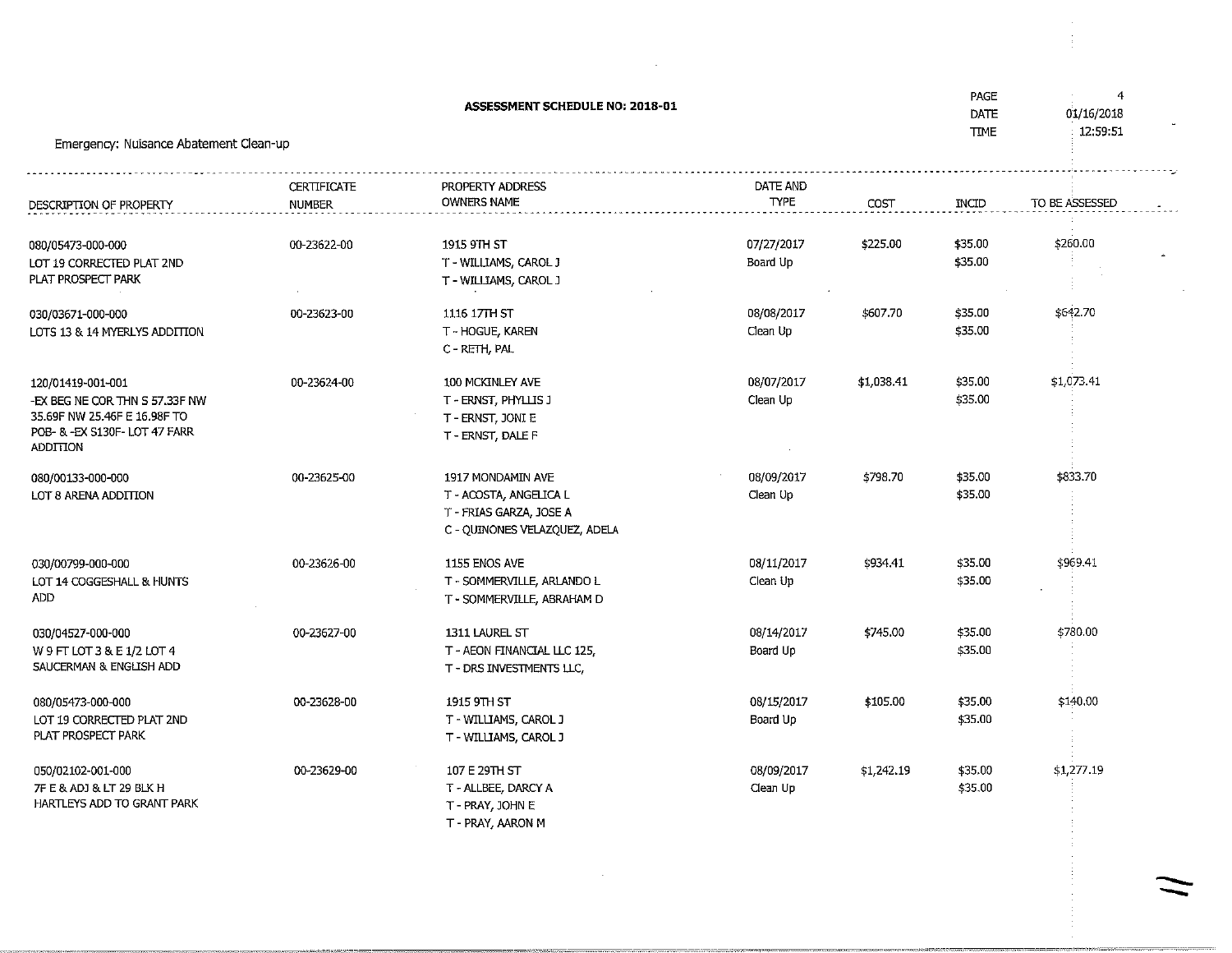|                                                                                                                                         |                       | ASSESSMENT SCHEDULE NO: 2018-01                                                                         |                         |            | PAGE<br>DATE<br><b>TIME</b> | 4<br>01/16/2018 |
|-----------------------------------------------------------------------------------------------------------------------------------------|-----------------------|---------------------------------------------------------------------------------------------------------|-------------------------|------------|-----------------------------|-----------------|
| Emergency: Nuisance Abatement Clean-up                                                                                                  |                       |                                                                                                         |                         |            |                             | 12:59:51        |
| DESCRIPTION OF PROPERTY                                                                                                                 | CERTIFICATE<br>NUMBER | PROPERTY ADDRESS<br><b>OWNERS NAME</b>                                                                  | DATE AND<br><b>TYPE</b> | COST       | INCID                       | TO BE ASSESSED  |
| 080/05473-000-000<br>LOT 19 CORRECTED PLAT 2ND<br>PLAT PROSPECT PARK                                                                    | 00-23622-00           | 1915 9TH ST<br>T - WILLIAMS, CAROL J<br>T - WILLIAMS, CAROL J                                           | 07/27/2017<br>Board Up  | \$225.00   | \$35.00<br>\$35.00          | \$260.00        |
| 030/03671-000-000<br>LOTS 13 & 14 MYERLYS ADDITION                                                                                      | 00-23623-00           | 1116 17TH ST<br>T - HOGUE, KAREN<br>C - RETH, PAL                                                       | 08/08/2017<br>Clean Up  | \$607.70   | \$35.00<br>\$35.00          | \$642.70        |
| 120/01419-001-001<br>-EX BEG NE COR THN S 57.33F NW<br>35.69F NW 25.46F E 16.98F TO<br>POB- & -EX S130F- LOT 47 FARR<br><b>ADDITION</b> | 00-23624-00           | 100 MCKINLEY AVE<br>T - ERNST, PHYLLIS J<br>T - ERNST, JONI E<br>T - ERNST, DALE F                      | 08/07/2017<br>Clean Up  | \$1,038.41 | \$35.00<br>\$35.00          | \$1,073.41      |
| 080/00133-000-000<br>LOT 8 ARENA ADDITION                                                                                               | 00-23625-00           | 1917 MONDAMIN AVE<br>T - ACOSTA, ANGELICA L<br>T - FRIAS GARZA, JOSE A<br>C - QUINONES VELAZQUEZ, ADELA | 08/09/2017<br>Clean Up  | \$798.70   | \$35.00<br>\$35.00          | \$833.70        |
| 030/00799-000-000<br>LOT 14 COGGESHALL & HUNTS<br><b>ADD</b>                                                                            | 00-23626-00           | 1155 ENOS AVE<br>T - SOMMERVILLE, ARLANDO L<br>T - SOMMERVILLE, ABRAHAM D                               | 08/11/2017<br>Clean Up  | \$934.41   | \$35.00<br>\$35.00          | \$969.41        |
| 030/04527-000-000<br>W 9 FT LOT 3 & E 1/2 LOT 4<br>SAUCERMAN & ENGLISH ADD                                                              | 00-23627-00           | 1311 LAUREL ST<br>T - AEON FINANCIAL LLC 125,<br>T - DRS INVESTMENTS LLC,                               | 08/14/2017<br>Board Up  | \$745.00   | \$35.00<br>\$35.00          | \$780.00        |
| 080/05473-000-000<br>LOT 19 CORRECTED PLAT 2ND<br>PLAT PROSPECT PARK                                                                    | 00-23628-00           | 1915 9TH ST<br>T - WILLIAMS, CAROL J<br>T - WILLIAMS, CAROL J                                           | 08/15/2017<br>Board Up  | \$105.00   | \$35.00<br>\$35.00          | \$140.00        |
| 050/02102-001-000<br>7F E & ADJ & LT 29 BLK H<br>HARTLEYS ADD TO GRANT PARK                                                             | 00-23629-00           | 107 E 29TH ST<br>T - ALLBEE, DARCY A<br>T - PRAY, JOHN E<br>T - PRAY, AARON M                           | 08/09/2017<br>Clean Up  | \$1,242.19 | \$35.00<br>\$35.00          | \$1,277.19      |

 $\sim 10^7$ 

 $\sim 100$  km s  $^{-1}$ 

 $\sim$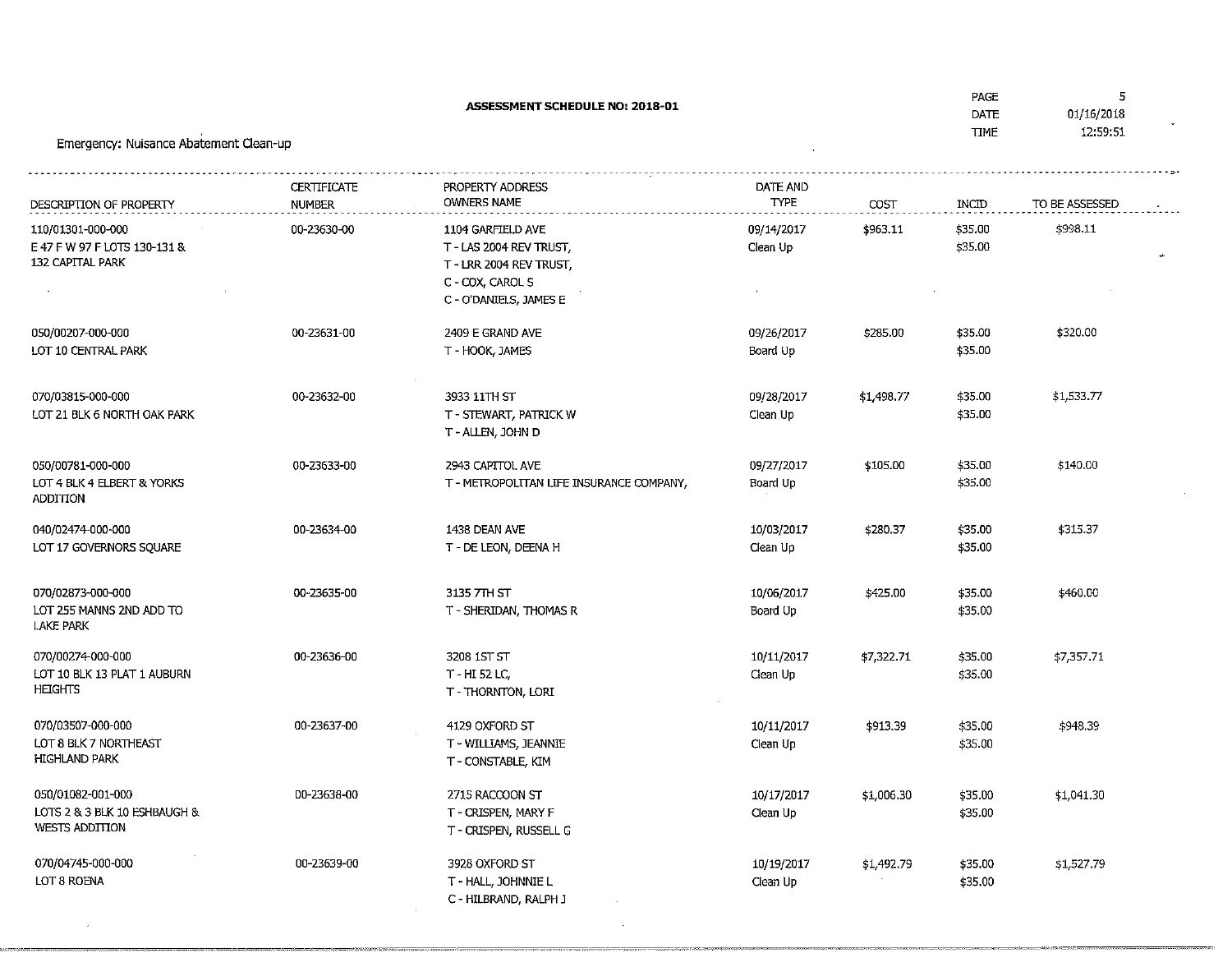ASSESSMENT SCHEDULE NO: 2018-01

 $\sqrt{5}$ 

| Emergency: Nuisance Abatement Clean-up                                       |                              |                                                                                                                       |                         |            | DAIL<br><b>TIME</b> | 01/16/2018<br>12:59:51 |
|------------------------------------------------------------------------------|------------------------------|-----------------------------------------------------------------------------------------------------------------------|-------------------------|------------|---------------------|------------------------|
| DESCRIPTION OF PROPERTY                                                      | CERTIFICATE<br><b>NUMBER</b> | PROPERTY ADDRESS<br><b>OWNERS NAME</b>                                                                                | DATE AND<br><b>TYPE</b> | COST       | INCID               | TO BE ASSESSED         |
| 110/01301-000-000<br>E 47 F W 97 F LOTS 130-131 &<br><b>132 CAPITAL PARK</b> | 00-23630-00                  | 1104 GARFIELD AVE<br>T - LAS 2004 REV TRUST,<br>T - LRR 2004 REV TRUST,<br>C - COX, CAROL S<br>C - O'DANIELS, JAMES E | 09/14/2017<br>Clean Up  | \$963.11   | \$35.00<br>\$35.00  | \$998.11               |
| 050/00207-000-000<br>LOT 10 CENTRAL PARK                                     | 00-23631-00                  | 2409 E GRAND AVE<br>T - HOOK, JAMES                                                                                   | 09/26/2017<br>Board Up  | \$285.00   | \$35.00<br>\$35.00  | \$320.00               |
| 070/03815-000-000<br>LOT 21 BLK 6 NORTH OAK PARK                             | 00-23632-00                  | 3933 11TH ST<br>T - STEWART, PATRICK W<br>T-ALLEN, JOHN D                                                             | 09/28/2017<br>Clean Up  | \$1,498.77 | \$35.00<br>\$35.00  | \$1,533.77             |
| 050/00781-000-000<br>LOT 4 BLK 4 ELBERT & YORKS<br>ADDITION                  | 00-23633-00                  | 2943 CAPITOL AVE<br>T - METROPOLITAN LIFE INSURANCE COMPANY,                                                          | 09/27/2017<br>Board Up  | \$105.00   | \$35.00<br>\$35.00  | \$140.00               |
| 040/02474-000-000<br>LOT 17 GOVERNORS SQUARE                                 | 00-23634-00                  | 1438 DEAN AVE<br>T - DE LEON, DEENA H                                                                                 | 10/03/2017<br>Clean Up  | \$280.37   | \$35.00<br>\$35.00  | \$315.37               |
| 070/02873-000-000<br>LOT 255 MANNS 2ND ADD TO<br><b>LAKE PARK</b>            | 00-23635-00                  | 3135 7TH ST<br>T - SHERIDAN, THOMAS R                                                                                 | 10/06/2017<br>Board Up  | \$425.00   | \$35.00<br>\$35.00  | \$460.00               |
| 070/00274-000-000<br>LOT 10 BLK 13 PLAT 1 AUBURN<br><b>HEIGHTS</b>           | 00-23636-00                  | 3208 1ST ST<br>T - HI 52 LC,<br>T-THORNTON, LORI                                                                      | 10/11/2017<br>Clean Up  | \$7,322.71 | \$35.00<br>\$35,00  | \$7,357.71             |
| 070/03507-000-000<br>LOT 8 BLK 7 NORTHEAST<br><b>HIGHLAND PARK</b>           | 00-23637-00                  | 4129 OXFORD ST<br>T - WILLIAMS, JEANNIE<br>T - CONSTABLE, KIM                                                         | 10/11/2017<br>Clean Up  | \$913.39   | \$35.00<br>\$35.00  | \$948.39               |
| 050/01082-001-000<br>LOTS 2 & 3 BLK 10 ESHBAUGH &<br><b>WESTS ADDITION</b>   | 00-23638-00                  | 2715 RACCOON ST<br>T - CRISPEN, MARY F<br>T - CRISPEN, RUSSELL G                                                      | 10/17/2017<br>Clean Up  | \$1,006.30 | \$35.00<br>\$35.00  | \$1,041.30             |
| 070/04745-000-000<br>LOT 8 ROENA                                             | 00-23639-00                  | 3928 OXFORD ST<br>T - HALL, JOHNNIE L                                                                                 | 10/19/2017<br>Clean Up  | \$1,492.79 | \$35.00<br>\$35.00  | \$1,527.79             |

 $\sim$ 

Clean Up

 T - HALL, JOHNNIE LC - HILBRAND, RALPH J

 $\sim$   $\mu$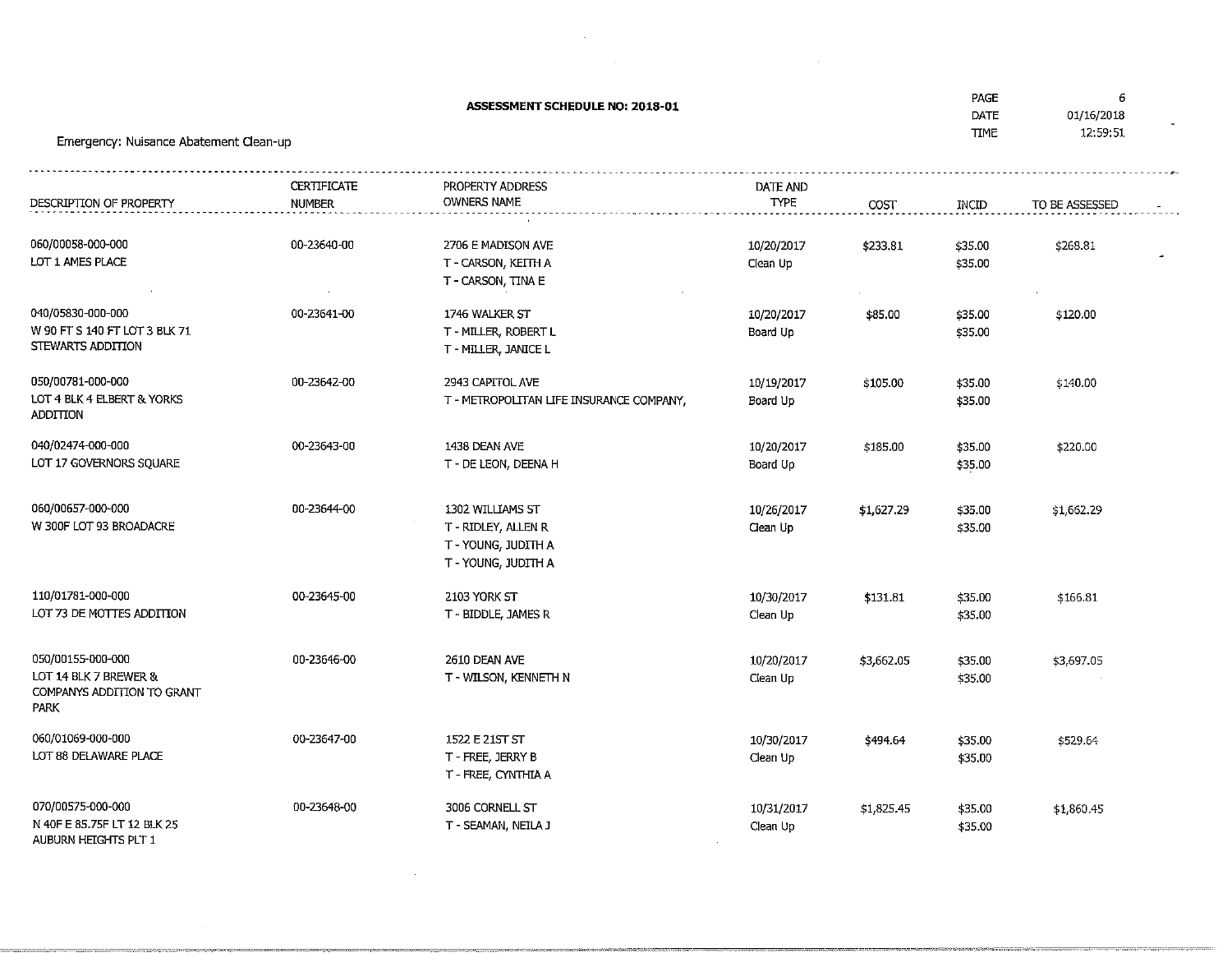ASSESSMENT SCHEDULE NO; 2018-01

 $\bar{z}$ 

 DATETtME

## Emergency: Nuisance Abatement Clean-up

| DESCRIPTION OF PROPERTY                                                          | <b>CERTIFICATE</b><br><b>NUMBER</b> | PROPERTY ADDRESS<br><b>OWNERS NAME</b>                                              | DATE AND<br><b>TYPE</b> | COST       | INCID              | TO BE ASSESSED |
|----------------------------------------------------------------------------------|-------------------------------------|-------------------------------------------------------------------------------------|-------------------------|------------|--------------------|----------------|
| 060/00058-000-000<br>LOT 1 AMES PLACE                                            | 00-23640-00                         | 2706 E MADISON AVE<br>T - CARSON, KEITH A<br>T - CARSON, TINA E                     | 10/20/2017<br>Clean Up  | \$233.81   | \$35.00<br>\$35.00 | \$268.81       |
| 040/05830-000-000<br>W 90 FT S 140 FT LOT 3 BLK 71<br>STEWARTS ADDITION          | 00-23641-00                         | 1746 WALKER ST<br>T - MILLER, ROBERT L<br>T - MILLER, JANICE L                      | 10/20/2017<br>Board Up  | \$85.00    | \$35.00<br>\$35.00 | \$120.00       |
| 050/00781-000-000<br>LOT 4 BLK 4 ELBERT & YORKS<br>ADDITION                      | 00-23642-00                         | 2943 CAPITOL AVE<br>T - METROPOLITAN LIFE INSURANCE COMPANY,                        | 10/19/2017<br>Board Up  | \$105.00   | \$35.00<br>\$35.00 | \$140.00       |
| 040/02474-000-000<br>LOT 17 GOVERNORS SQUARE                                     | 00-23643-00                         | 1438 DEAN AVE<br>T - DE LEON, DEENA H                                               | 10/20/2017<br>Board Up  | \$185.00   | \$35.00<br>\$35.00 | \$220.00       |
| 060/00657-000-000<br>W 300F LOT 93 BROADACRE                                     | 00-23644-00                         | 1302 WILLIAMS ST<br>T-RIDLEY, ALLEN R<br>T - YOUNG, JUDITH A<br>T - YOUNG, JUDITH A | 10/26/2017<br>Clean Up  | \$1,627.29 | \$35.00<br>\$35.00 | \$1,662.29     |
| 110/01781-000-000<br>LOT 73 DE MOTTES ADDITION                                   | 00-23645-00                         | 2103 YORK ST<br>T - BIDDLE, JAMES R                                                 | 10/30/2017<br>Clean Up  | \$131.81   | \$35.00<br>\$35.00 | \$166.81       |
| 050/00155-000-000<br>LOT 14 BLK 7 BREWER &<br>COMPANYS ADDITION TO GRANT<br>PARK | 00-23646-00                         | 2610 DEAN AVE<br>T - WILSON, KENNETH N                                              | 10/20/2017<br>Clean Up  | \$3,662.05 | \$35.00<br>\$35.00 | \$3,697.05     |
| 060/01069-000-000<br>LOT 88 DELAWARE PLACE                                       | 00-23647-00                         | 1522 E 21ST ST<br>T - FREE, JERRY B<br>T - FREE, CYNTHIA A                          | 10/30/2017<br>Clean Up  | \$494.64   | \$35.00<br>\$35.00 | \$529,64       |
| 070/00575-000-000<br>N 40F E 85.75F LT 12 BLK 25<br>AUBURN HEIGHTS PLT 1         | 00-23648-00                         | 3006 CORNELL ST<br>T - SEAMAN, NEILA J                                              | 10/31/2017<br>Clean Up  | \$1,825.45 | \$35.00<br>\$35.00 | \$1,860.45     |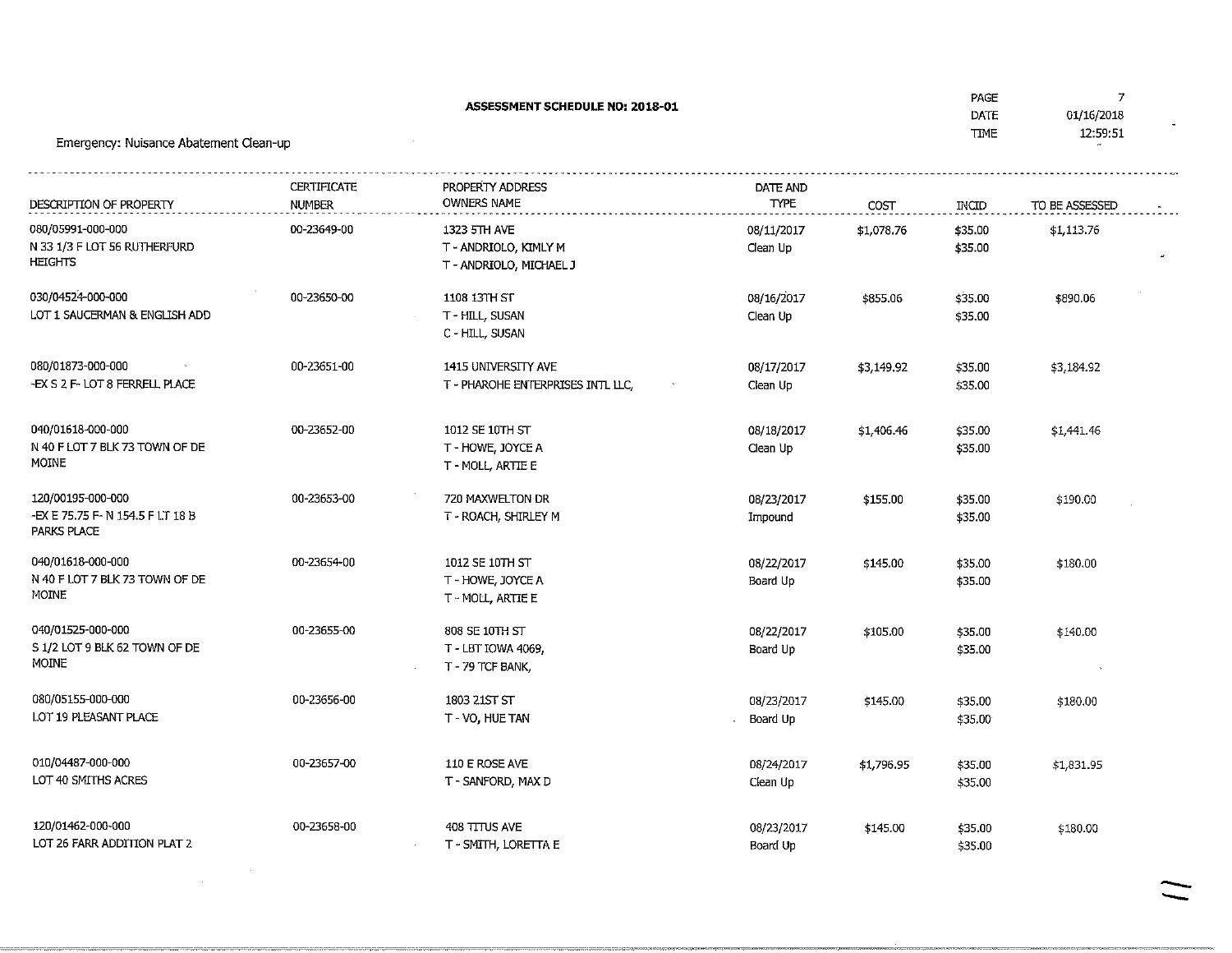ASSESSMENT SCHEDULE NO: 2018-01 01/16/2018 DATE 12:59:51 TIMEEmergency: Nuisance Abatement Clean-up-------------------------------**CERTIFICATE** PROPERTY ADDRESSDATE ANDOWNERS NAMEDESCRIPTION OF PROPERTY NUMBERTYPE**COST** INCTDTO BE ASSESSED 00-23649-00080/05991-000-0001323 FTH AVE \$35.0008/11/2017\$1,078.76\$1,113.76 N 33 1/3 F LOT 56 RUTHERFURDClean Up \$35.00 T - ANDRJOLO/ KIMLY MHEIGHTS T - ANDRIOLO/ MIChiAEL J030/0452+000-00000-23650-001108 13TH ST08/16/2017\$855.06\$35.00\$890.06Clean Up LOT 1 5AUCERMAN & ENGLISH ADD \$35.00 T-HILL, SUSAN C - HILL, SUSAN080/01873-000-00000-23651-001415 UNIVERSITY AVE 08/17/2017\$3/149.92\$35.00\$3,184.92 -EX S 2 F- LOT 8 FERRELL PLACECiean Up \$35.00T - PHAROHE ENTERPRISES INTL LLC, 040/01618-000-00000-23652-001012 SE 10TH ST08/18/2017\$1,406.46\$35.00\$1/441.46 N 40 F LOT 7 BLK 73 TOWN OF DEClean Up \$35.00 T-HOWE,JOYCEAMOINE T - MOLL, AR7IE E120/00195-000-00000-23653-00720 MAXWELTON DR08/23/2017\$155.00\$35.00\$190.00-EX E 75.75 F- N 154.5 F LT 18 B Impound \$35.00 T - ROACH, SHIRLEY MPARKS PLACE040/01618-000-00000-23654-001012 SE 10TH ST 08/22/2017\$145.00\$35.00\$180.00 N 40 F LOT 7 BLK 73 TOWN OF DEBoard Up \$35.00 T-HOWE,JOYCEAMOINET - MOLL, ARTIE E 040/01525-000-00000-23655-00808 SE 10TH ST 08/22/2017\$105.00\$35.00\$140.00 S 1/2 LOT 9 BLK 62 TOWN OF DEBoard Up T-LBTIOWA4069/ \$35.00MOINET-79TCFBANK,080/05155-000-00000-23656-001803 21ST SY08/23/2017\$145.00\$35.00\$180.00 LOT 19 PLEASANT PLACEBoard Up \$35.00 T-VO,HUETAM010/04487-000-00000-23657-00110 E ROSE AVE08/24/2017\$1/796.95\$35.00\$1,831.95 LOT 40 SMITHS ACRESClean Up \$35.00T-SANFORD, MAX L 120/01462-000-00000-23658-00408 TTTUS AVE08/23/2017\$145.00\$35.00\$180.00LOT 26 FARR ADDITION PLAT 2 Board Up \$35.00T-SMITH, LOREITAE

PAGE

7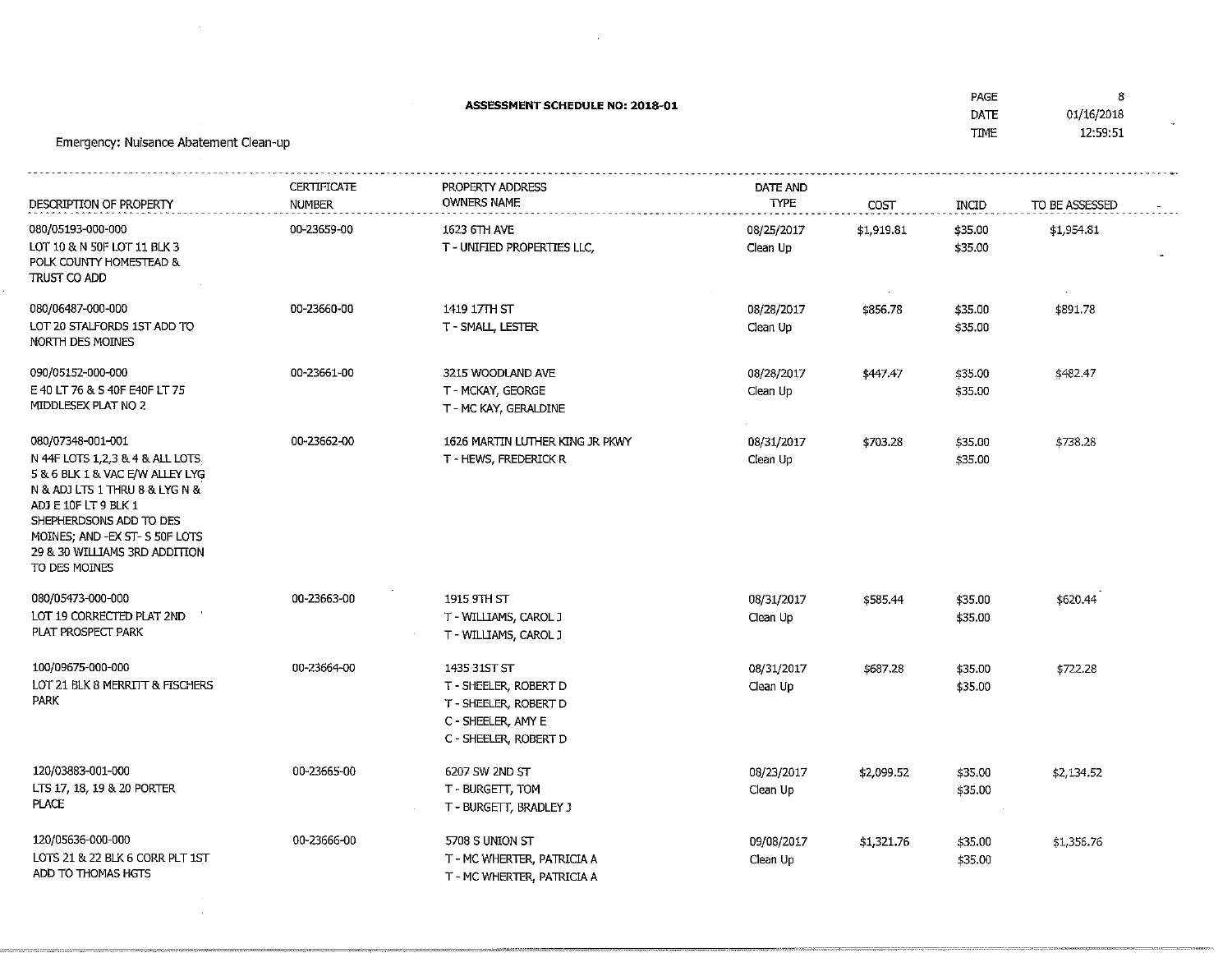| Emergency: Nuisance Abatement Clean-up                                                                                                                                                                                                                            |                                     | <b>ASSESSMENT SCHEDULE NO: 2018-01</b>                                                                        |                         |            | PAGE<br>DATE<br><b>TIME</b> | 8<br>01/16/2018<br>12:59:51 |
|-------------------------------------------------------------------------------------------------------------------------------------------------------------------------------------------------------------------------------------------------------------------|-------------------------------------|---------------------------------------------------------------------------------------------------------------|-------------------------|------------|-----------------------------|-----------------------------|
| DESCRIPTION OF PROPERTY                                                                                                                                                                                                                                           | <b>CERTIFICATE</b><br><b>NUMBER</b> | PROPERTY ADDRESS<br><b>OWNERS NAME</b>                                                                        | DATE AND<br><b>TYPE</b> | COST       | <b>INCID</b>                | TO BE ASSESSED              |
| 080/05193-000-000<br>LOT 10 & N 50F LOT 11 BLK 3<br>POLK COUNTY HOMESTEAD &<br>TRUST CO ADD                                                                                                                                                                       | 00-23659-00                         | 1623 6TH AVE<br>T - UNIFIED PROPERTIES LLC,                                                                   | 08/25/2017<br>Clean Up  | \$1,919.81 | \$35.00<br>\$35.00          | \$1,954.81                  |
| 080/06487-000-000<br>LOT 20 STALFORDS 1ST ADD TO<br>NORTH DES MOINES                                                                                                                                                                                              | 00-23660-00                         | 1419 17TH ST<br>T - SMALL, LESTER                                                                             | 08/28/2017<br>Clean Up  | \$856.78   | \$35.00<br>\$35.00          | \$891.78                    |
| 090/05152-000-000<br>E 40 LT 76 & S 40F E40F LT 75<br>MIDDLESEX PLAT NO 2                                                                                                                                                                                         | 00-23661-00                         | 3215 WOODLAND AVE<br>T - MCKAY, GEORGE<br>T - MC KAY, GERALDINE                                               | 08/28/2017<br>Clean Up  | \$447.47   | \$35.00<br>\$35.00          | \$482.47                    |
| 080/07348-001-001<br>N 44F LOTS 1,2,3 & 4 & ALL LOTS.<br>5 & 6 BLK 1 & VAC E/W ALLEY LYG<br>N & ADJ LTS 1 THRU 8 & LYG N &<br>ADJ E 10F LT 9 BLK 1<br>SHEPHERDSONS ADD TO DES<br>MOINES; AND -EX ST- S 50F LOTS<br>29 & 30 WILLIAMS 3RD ADDITION<br>TO DES MOINES | 00-23662-00                         | 1626 MARTIN LUTHER KING JR PKWY<br>T - HEWS, FREDERICK R                                                      | 08/31/2017<br>Clean Up  | \$703.28   | \$35.00<br>\$35.00          | \$738.28                    |
| 080/05473-000-000<br>LOT 19 CORRECTED PLAT 2ND<br>PLAT PROSPECT PARK                                                                                                                                                                                              | 00-23663-00                         | 1915 9TH ST<br>T - WILLIAMS, CAROL J<br>T - WILLIAMS, CAROL J                                                 | 08/31/2017<br>Clean Up  | \$585.44   | \$35.00<br>\$35.00          | \$620.44                    |
| 100/09675-000-000<br>LOT 21 BLK 8 MERRITT & FISCHERS<br><b>PARK</b>                                                                                                                                                                                               | 00-23664-00                         | 1435 31ST ST<br>T - SHEELER, ROBERT D<br>T - SHEELER, ROBERT D<br>C - SHEELER, AMY E<br>C - SHEELER, ROBERT D | 08/31/2017<br>Clean Up  | \$687.28   | \$35.00<br>\$35.00          | \$722.28                    |
| 120/03883-001-000<br>LTS 17, 18, 19 & 20 PORTER<br><b>PLACE</b>                                                                                                                                                                                                   | 00-23665-00                         | 6207 SW 2ND ST<br>T - BURGETT, TOM<br>T - BURGETT, BRADLEY J                                                  | 08/23/2017<br>Clean Up  | \$2,099.52 | \$35.00<br>\$35.00          | \$2,134.52                  |
| 120/05636-000-000<br>LOTS 21 & 22 BLK 6 CORR PLT 1ST<br>ADD TO THOMAS HGTS                                                                                                                                                                                        | 00-23666-00                         | 5708 S UNION ST<br>T - MC WHERTER, PATRICIA A<br>T - MC WHERTER, PATRICIA A                                   | 09/08/2017<br>Clean Up  | \$1,321.76 | \$35.00<br>\$35.00          | \$1,356.76                  |

 $\mathcal{L}^{\pm}$ 

 $\frac{1}{\sqrt{2}}\sum_{i=1}^{N} \frac{1}{\sqrt{2}}\left(\frac{1}{\sqrt{2}}\right)^2$ 

 $\mathcal{L}^{\mathcal{L}}(\mathcal{L}^{\mathcal{L}})$  and  $\mathcal{L}^{\mathcal{L}}(\mathcal{L}^{\mathcal{L}})$  .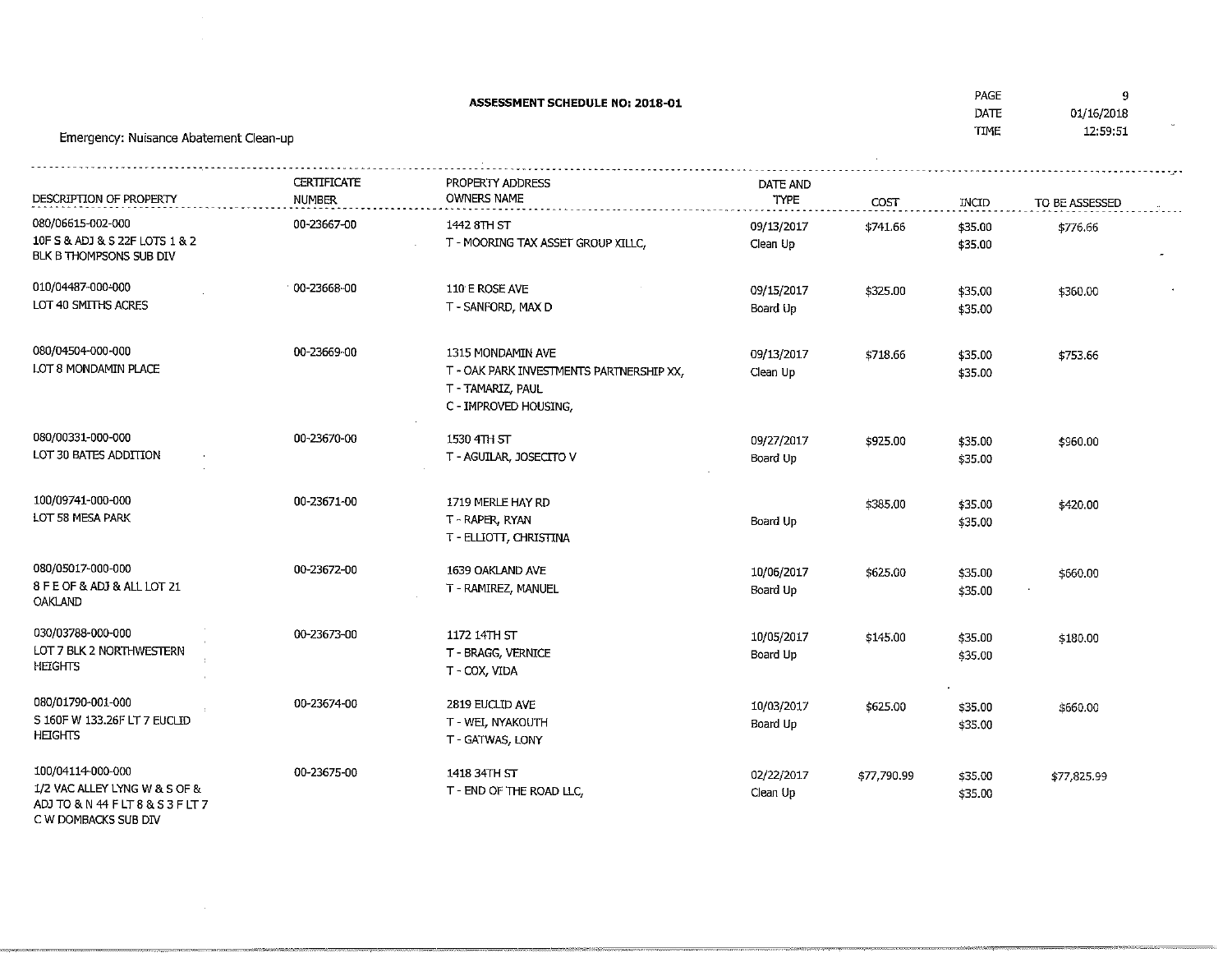| <b>ASSESSMENT SCHEDULE NO: 2018-01</b><br>Emergency: Nuisance Abatement Clean-up        |                                     |                                                                                                             |                         |             | PAGE<br>DATE<br><b>TIME</b> | 9<br>01/16/2018<br>12:59:51 |
|-----------------------------------------------------------------------------------------|-------------------------------------|-------------------------------------------------------------------------------------------------------------|-------------------------|-------------|-----------------------------|-----------------------------|
|                                                                                         |                                     |                                                                                                             |                         |             |                             |                             |
| DESCRIPTION OF PROPERTY                                                                 | <b>CERTIFICATE</b><br><b>NUMBER</b> | PROPERTY ADDRESS<br><b>OWNERS NAME</b>                                                                      | DATE AND<br><b>TYPE</b> | COST        | INCID                       | TO BE ASSESSED              |
| 080/06615-002-000<br>10F S & ADJ & S 22F LOTS 1 & 2<br>BLK B THOMPSONS SUB DIV          | 00-23667-00                         | 1442 8TH ST<br>T - MOORING TAX ASSET GROUP XILLC,                                                           | 09/13/2017<br>Clean Up  | \$741.66    | \$35.00<br>\$35.00          | \$776.66                    |
| 010/04487-000-000<br>LOT 40 SMITHS ACRES                                                | 00-23668-00                         | 110 E ROSE AVE<br>T - SANFORD, MAX D                                                                        | 09/15/2017<br>Board Up  | \$325.00    | \$35.00<br>\$35.00          | \$360.00                    |
| 080/04504-000-000<br>LOT 8 MONDAMIN PLACE                                               | 00-23669-00                         | 1315 MONDAMIN AVE<br>T - OAK PARK INVESTMENTS PARTNERSHIP XX,<br>T - TAMARIZ, PAUL<br>C - IMPROVED HOUSING, | 09/13/2017<br>Clean Up  | \$718.66    | \$35.00<br>\$35.00          | \$753.66                    |
| 080/00331-000-000<br>LOT 30 BATES ADDITION                                              | 00-23670-00                         | 1530 4TH ST<br>T - AGUILAR, JOSECITO V                                                                      | 09/27/2017<br>Board Up  | \$925.00    | \$35.00<br>\$35.00          | \$960.00                    |
| 100/09741-000-000<br>LOT 58 MESA PARK                                                   | 00-23671-00                         | 1719 MERLE HAY RD<br>T - RAPER, RYAN<br>T - ELLIOTT, CHRISTINA                                              | Board Up                | \$385.00    | \$35.00<br>\$35.00          | \$420.00                    |
| 080/05017-000-000<br>8 F E OF & ADJ & ALL LOT 21<br>OAKLAND                             | 00-23672-00                         | 1639 OAKLAND AVE<br>T - RAMIREZ, MANUEL                                                                     | 10/06/2017<br>Board Up  | \$625.00    | \$35.00<br>\$35.00          | \$660.00                    |
| 030/03788-000-000<br>LOT 7 BLK 2 NORTHWESTERN<br><b>HEIGHTS</b>                         | 00-23673-00                         | 1172 14TH ST<br>T - BRAGG, VERNICE<br>T - COX, VIDA                                                         | 10/05/2017<br>Board Up  | \$145.00    | \$35.00<br>\$35.00          | \$180.00                    |
| 080/01790-001-000<br>S 160F W 133.26F LT 7 EUCLID<br><b>HEIGHTS</b>                     | 00-23674-00                         | 2819 EUCLID AVE<br>T - WEI, NYAKOUTH<br>T - GATWAS, LONY                                                    | 10/03/2017<br>Board Up  | \$625.00    | \$35.00<br>\$35.00          | \$660.00                    |
| 100/04114-000-000<br>1/2 VAC ALLEY LYNG W & S OF &<br>ADJ TO & N 44 F LT 8 & S 3 F LT 7 | 00-23675-00                         | 1418 34TH ST<br>T - END OF THE ROAD LLC,                                                                    | 02/22/2017<br>Clean Up  | \$77,790.99 | \$35.00<br>\$35.00          | \$77,825.99                 |

C W DOMBACKS SUB DT/

.<br>Contractors communications in the contract

 $\sim$   $\sim$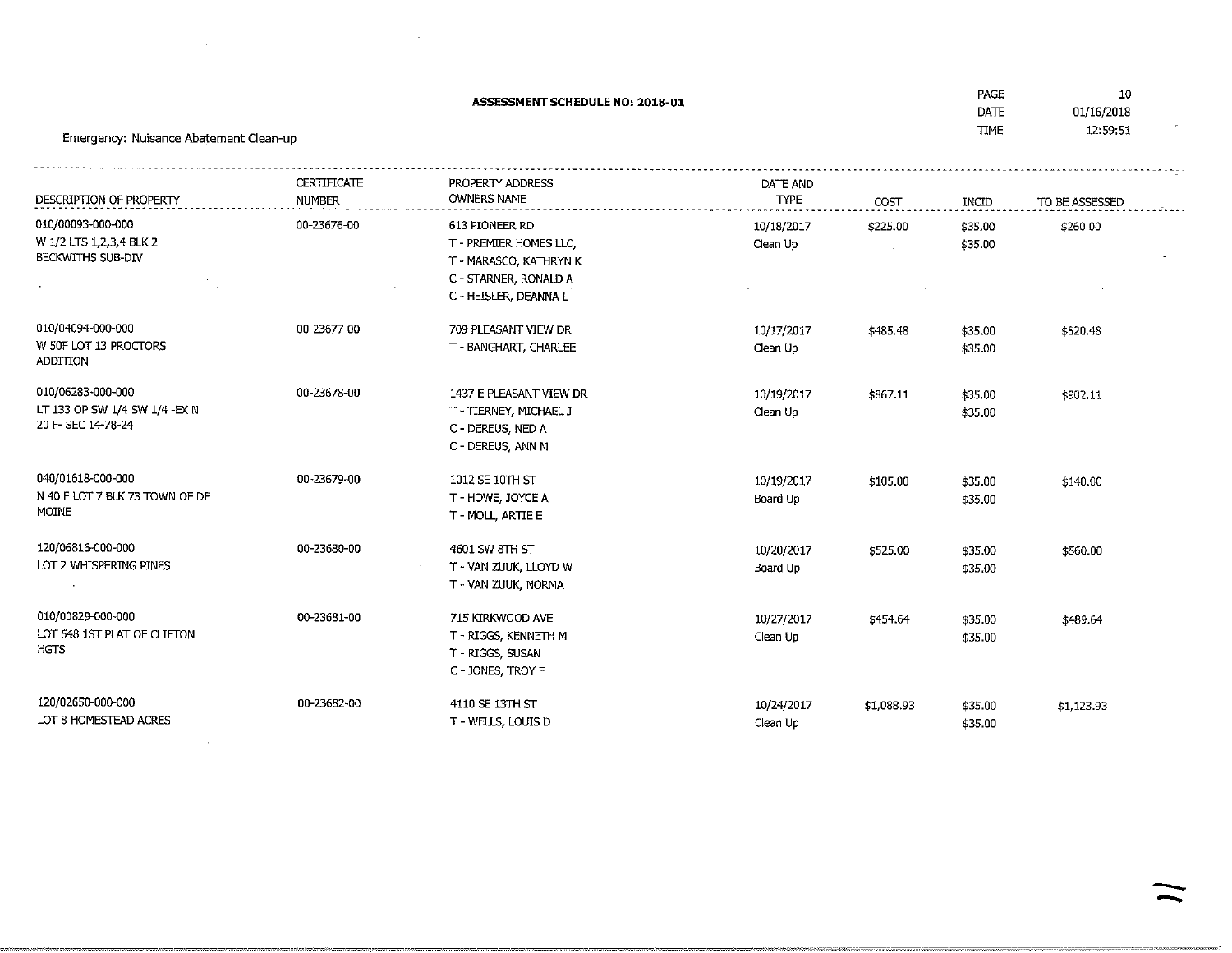| ASSESSMENT SCHEDULE NO: 2018-01<br>Emergency: Nuisance Abatement Clean-up |                                     |                                                                                                                      |                         |            | PAGE<br>DATE<br><b>TIME</b> | 10<br>01/16/2018<br>12:59:51 |  |
|---------------------------------------------------------------------------|-------------------------------------|----------------------------------------------------------------------------------------------------------------------|-------------------------|------------|-----------------------------|------------------------------|--|
| DESCRIPTION OF PROPERTY                                                   | <b>CERTIFICATE</b><br><b>NUMBER</b> | PROPERTY ADDRESS<br><b>OWNERS NAME</b>                                                                               | DATE AND<br><b>TYPE</b> | COST       | INCID                       | TO BE ASSESSED               |  |
| 010/00093-000-000<br>W 1/2 LTS 1,2,3,4 BLK 2<br>BECKWITHS SUB-DIV         | 00-23676-00                         | 613 PIONEER RD<br>T - PREMIER HOMES LLC,<br>T - MARASCO, KATHRYN K<br>C - STARNER, RONALD A<br>C - HEISLER, DEANNA L | 10/18/2017<br>Clean Up  | \$225.00   | \$35.00<br>\$35.00          | \$260.00                     |  |
| 010/04094-000-000<br>W 50F LOT 13 PROCTORS<br><b>ADDITION</b>             | 00-23677-00                         | 709 PLEASANT VIEW DR<br>T - BANGHART, CHARLEE                                                                        | 10/17/2017<br>Clean Up  | \$485.48   | \$35.00<br>\$35.00          | \$520.48                     |  |
| 010/06283-000-000<br>LT 133 OP SW 1/4 SW 1/4 - EX N<br>20 F-SEC 14-78-24  | 00-23678-00                         | 1437 E PLEASANT VIEW DR<br>T - TIERNEY, MICHAEL J<br>C - DEREUS, NED A<br>C - DEREUS, ANN M                          | 10/19/2017<br>Clean Up  | \$867.11   | \$35.00<br>\$35.00          | \$902.11                     |  |
| 040/01618-000-000<br>N 40 F LOT 7 BLK 73 TOWN OF DE<br>MOINE              | 00-23679-00                         | 1012 SE 10TH ST<br>T - HOWE, JOYCE A<br>T-MOLL ARTIE E                                                               | 10/19/2017<br>Board Up  | \$105.00   | \$35.00<br>\$35.00          | \$140.00                     |  |
| 120/06816-000-000<br>LOT 2 WHISPERING PINES                               | 00-23680-00                         | 4601 SW 8TH ST<br>T - VAN ZUUK, LLOYD W<br>T - VAN ZUUK, NORMA                                                       | 10/20/2017<br>Board Up  | \$525.00   | \$35.00<br>\$35.00          | \$560.00                     |  |
| 010/00829-000-000<br>LOT 548 1ST PLAT OF CLIFTON<br>HGTS                  | 00-23681-00                         | 715 KIRKWOOD AVE<br>T - RIGGS, KENNETH M<br>T - RIGGS, SUSAN<br>C - JONES, TROY F                                    | 10/27/2017<br>Clean Up  | \$454.64   | \$35.00<br>\$35.00          | \$489.64                     |  |
| 120/02650-000-000<br>LOT 8 HOMESTEAD ACRES                                | 00-23682-00                         | 4110 SE 13TH ST<br>T - WELLS, LOUIS D                                                                                | 10/24/2017<br>Clean Up  | \$1,088.93 | \$35.00<br>\$35.00          | \$1,123.93                   |  |

 $\label{eq:2.1} \mathcal{L}(\mathcal{L}(\mathcal{L})) = \mathcal{L}(\mathcal{L}(\mathcal{L})) = \mathcal{L}(\mathcal{L}(\mathcal{L})) = \mathcal{L}(\mathcal{L}(\mathcal{L})) = \mathcal{L}(\mathcal{L}(\mathcal{L})) = \mathcal{L}(\mathcal{L}(\mathcal{L})) = \mathcal{L}(\mathcal{L}(\mathcal{L})) = \mathcal{L}(\mathcal{L}(\mathcal{L})) = \mathcal{L}(\mathcal{L}(\mathcal{L})) = \mathcal{L}(\mathcal{L}(\mathcal{L})) = \mathcal{L}(\mathcal{L}(\mathcal{L})) = \math$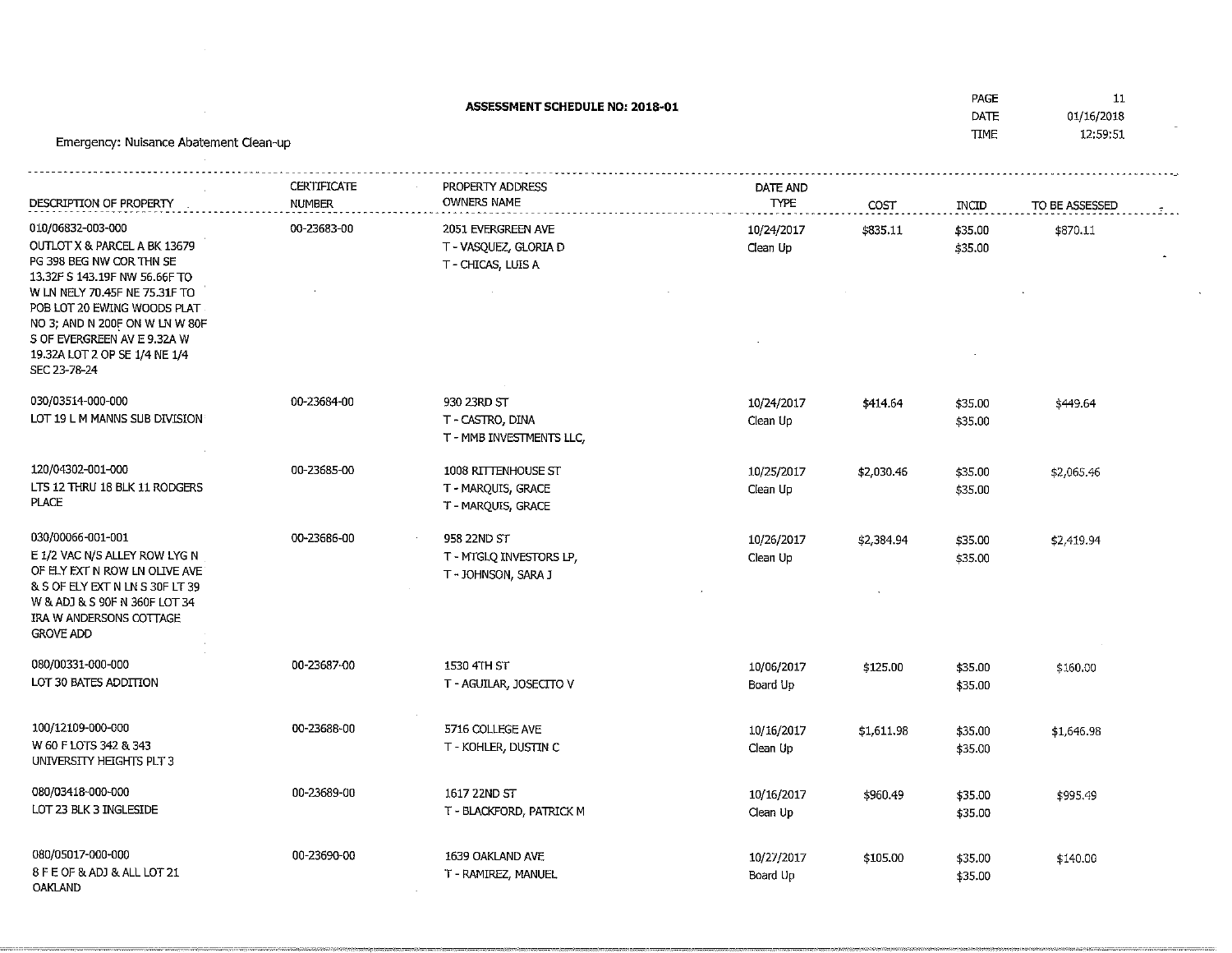Emergency: Nuisance Abatement Clean-upASSESSMENT SCHEDULE NO: 2018-01 DATCTTWIE 01/16/2018 12:59:51DESCRIPTION OF PROPERTY **CERTIFICATE** NUMBER 00-23683-00PROPERTY ADDRESSOWNERS NAMEDATE ANDTYPE COST\$835.11INQD TO BE ASSESSED010/0683Z-003-000 mOUTLOT X & PARCEL A BK 13679PG 398 BEG NW COR THN SE 13.32F S 143.19F NW 56.66F TO W LN NELY 70.45F NE 75.31F TO POB LOT 20 EWING WOODS PLAT NO 3; AND N 200F ON W LN W 80FS OF EVERGREEN AV E 9.32A W 19.32A LOT 2 OP SE 1/4 ME 1/4SEC 23-78-24030/03514-000-000LOT 19 L M MANNS SUB DIVISION 00-23684-002051 EVERGREEN AVE T-VASQUEZ/GLORIA DT - CHICAS, LUIS A 930 23RD ST T - CASTRO, DINA T - MMB INVESTMENTS LLC,10/24/2017Clean Up10/24/2017Clean Up\$35.00 \$35.00\$414.64 \$35.00 \$35.00\$449.64120/04302-001-000 LTS 12THRU 18 BLK 11 RODGERSPLACE030/00066-001-001 E 1/2 VAC N/5 ALLEY ROW LYG N OF ELY D(T N ROW LN OLIVE AVE & S OF ELY BfT N LN S 30F LT 39 W &ADJ & S 90F N 360F LOT 34IRA W ANDER50NS COTTAGEGROVE ADD080/00331-000-000 LOT 30 BATES ADDITION00-23685-0000-23686-0000-23687-001008 RITTENHOUSE ST T - MARQUIS/ GRACE T-MARQUIS/GRACE958 22ND ST T-MTGLQ INVESTORS LP/T - JOHNSON, SARA J 1530 4TH STT-AGUILAR, JOSECITOV 10/25/2017Clean Up10/26/2017Clean Up10/06/2017Board Up\$2,030.46\$2,384.94\$35.00 \$35.00\$35.00 \$35.00\$2,065.46\$2,419.94\$125.00 \$35.00 \$35.00\$160.00100/12109-000-000 W 60 F LOTS 342 & 343 UNIVERSnY HEIGHTS PLT 3080/03418-000-000LOT 23 BLK 3 INGLESIDE 00-23688-0000-23689-005716 COLLEGE AVET-KOHLER, DUSTING 1617 22ND ST T - BLACKFORD/ PATRICK M10/16/2017Clean Up10/16/2017Clean Up\$1,611.98\$960.49\$35.00 \$35.00\$35.00 \$35.00\$1,646.98\$995,49

PAGE

11

080/05017-000-000 8 F E OF &ADJ &ALL LOT 21OAKLAND

00-23690-00

 1639 OAKLAND AVE T - RAMIREZ, MANUEL10/27/2017Board Up

\$105.00

 \$35.00\$35.00

\$140.00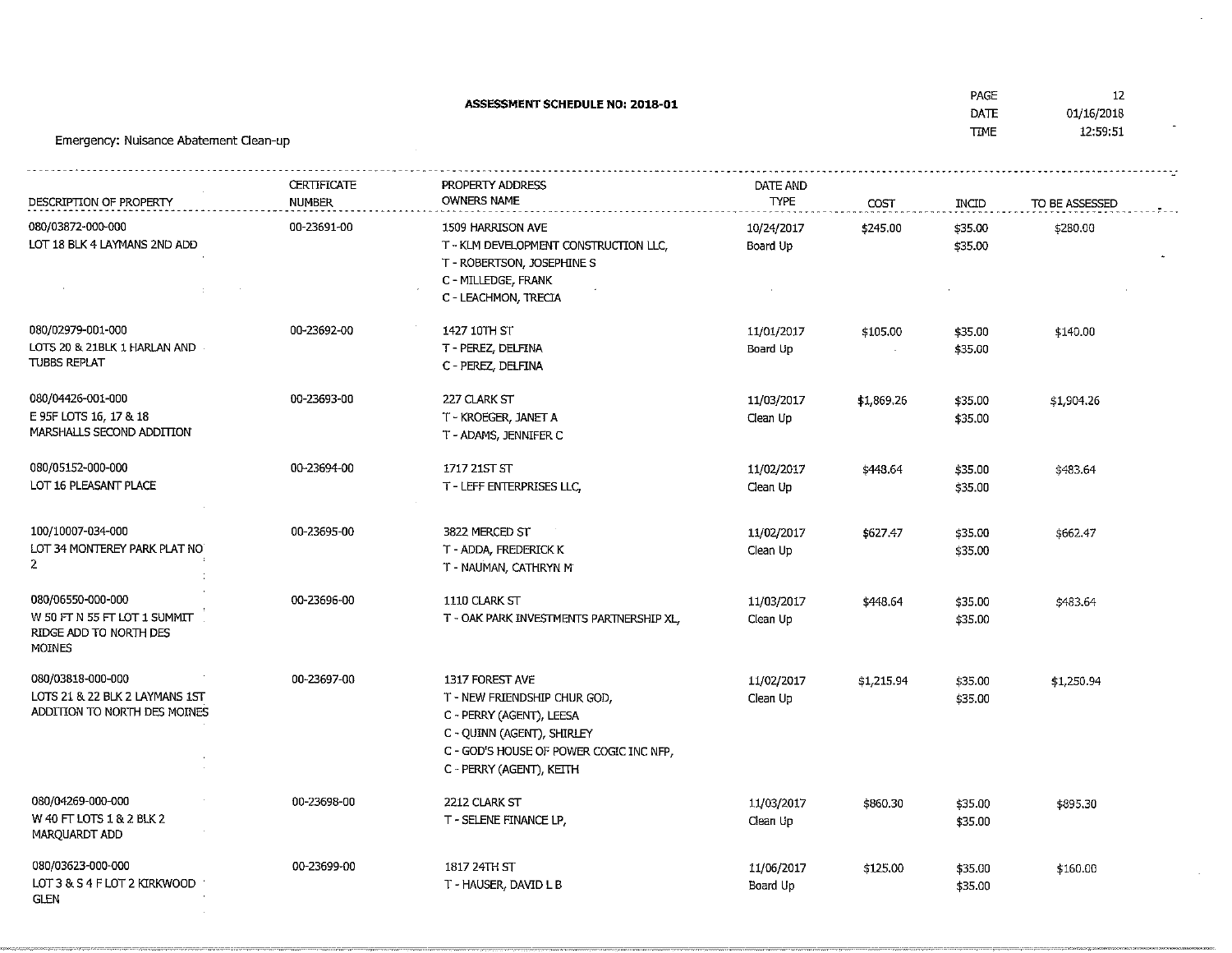| Emergency: Nuisance Abatement Clean-up                         |                              | <b>ASSESSMENT SCHEDULE NO: 2018-01</b>                                |                         |            | PAGE<br><b>DATE</b><br><b>TIME</b> | -12<br>01/16/2018<br>12:59:51 |  |
|----------------------------------------------------------------|------------------------------|-----------------------------------------------------------------------|-------------------------|------------|------------------------------------|-------------------------------|--|
|                                                                |                              |                                                                       |                         |            |                                    |                               |  |
| DESCRIPTION OF PROPERTY                                        | CERTIFICATE<br><b>NUMBER</b> | PROPERTY ADDRESS<br><b>OWNERS NAME</b>                                | DATE AND<br><b>TYPE</b> | COST       | INCID                              | TO BE ASSESSED                |  |
| 080/03872-000-000                                              | 00-23691-00                  | 1509 HARRISON AVE                                                     | 10/24/2017              | \$245.00   | \$35.00                            | \$280.00                      |  |
| LOT 18 BLK 4 LAYMANS 2ND ADD                                   |                              | T - KLM DEVELOPMENT CONSTRUCTION LLC,<br>T - ROBERTSON, JOSEPHINE S   | Board Up                |            | \$35.00                            |                               |  |
|                                                                |                              | C - MILLEDGE, FRANK<br>C - LEACHMON, TRECIA                           |                         |            |                                    |                               |  |
| 080/02979-001-000                                              | 00-23692-00                  | 1427 10TH ST                                                          | 11/01/2017              | \$105.00   | \$35.00                            | \$140.00                      |  |
| LOTS 20 & 21BLK 1 HARLAN AND<br>TUBBS REPLAT                   |                              | T - PEREZ, DELFINA<br>C - PEREZ, DELFINA                              | Board Up                |            | \$35.00                            |                               |  |
| 080/04426-001-000                                              | 00-23693-00                  | 227 CLARK ST                                                          | 11/03/2017              | \$1,869.26 | \$35.00                            | \$1,904.26                    |  |
| E 95F LOTS 16, 17 & 18<br>MARSHALLS SECOND ADDITION            |                              | T - KROEGER, JANET A<br>T - ADAMS, JENNIFER C                         | Clean Up                |            | \$35.00                            |                               |  |
| 080/05152-000-000                                              | 00-23694-00                  | 1717 21ST ST                                                          | 11/02/2017              | \$448.64   | \$35.00                            | \$483.64                      |  |
| LOT 16 PLEASANT PLACE                                          |                              | T - LEFF ENTERPRISES LLC,                                             | Clean Up                |            | \$35.00                            |                               |  |
| 100/10007-034-000<br>LOT 34 MONTEREY PARK PLAT NO              | 00-23695-00                  | 3822 MERCED ST<br>T - ADDA, FREDERICK K                               | 11/02/2017              | \$627.47   | \$35.00                            | \$662,47                      |  |
| $\mathbf{2}$                                                   |                              | T - NAUMAN, CATHRYN M                                                 | Clean Up                |            | \$35.00                            |                               |  |
| 080/06550-000-000<br>W 50 FT N 55 FT LOT 1 SUMMIT              | 00-23696-00                  | 1110 CLARK ST                                                         | 11/03/2017              | \$448.64   | \$35.00                            | \$483.64                      |  |
| RIDGE ADD TO NORTH DES<br>MOINES                               |                              | T - OAK PARK INVESTMENTS PARTNERSHIP XL,                              | Clean Up                |            | \$35.00                            |                               |  |
| 080/03818-000-000                                              | 00-23697-00                  | 1317 FOREST AVE                                                       | 11/02/2017              | \$1,215.94 | \$35.00                            | \$1,250.94                    |  |
| LOTS 21 & 22 BLK 2 LAYMANS 1ST<br>ADDITION TO NORTH DES MOINES |                              | T - NEW FRIENDSHIP CHUR GOD,<br>C - PERRY (AGENT), LEESA              | Clean Up                |            | \$35.00                            |                               |  |
|                                                                |                              | C - QUINN (AGENT), SHIRLEY<br>C - GOD'S HOUSE OF POWER COGIC INC NFP, |                         |            |                                    |                               |  |
|                                                                |                              | C - PERRY (AGENT), KEITH                                              |                         |            |                                    |                               |  |
| 080/04269-000-000                                              | 00-23698-00                  | 2212 CLARK ST                                                         | 11/03/2017              | \$860.30   | \$35.00                            | \$895.30                      |  |
| W 40 FT LOTS 1 & 2 BLK 2<br>MARQUARDT ADD                      |                              | T - SELENE FINANCE LP,                                                | Clean Up                |            | \$35.00                            |                               |  |
| 080/03623-000-000                                              | 00-23699-00                  | 1817 24TH ST                                                          | 11/06/2017              | \$125.00   | \$35.00                            | \$160.00                      |  |
| LOT 3 & S 4 F LOT 2 KIRKWOOD<br><b>GLEN</b>                    |                              | T - HAUSER, DAVID L B                                                 | Board Up                |            | \$35.00                            |                               |  |